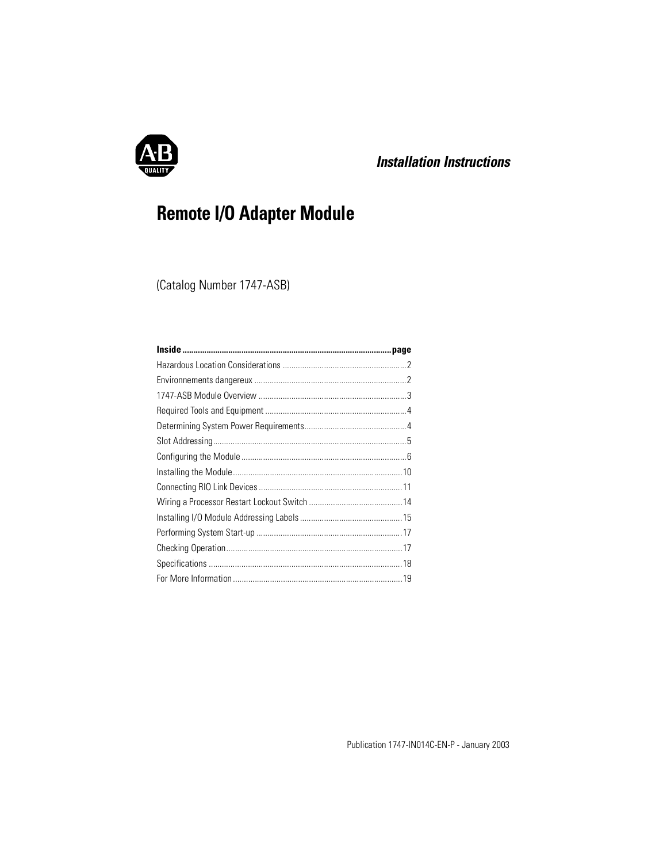

# *Installation Instructions*

# **Remote I/O Adapter Module**

(Catalog Number 1747-ASB)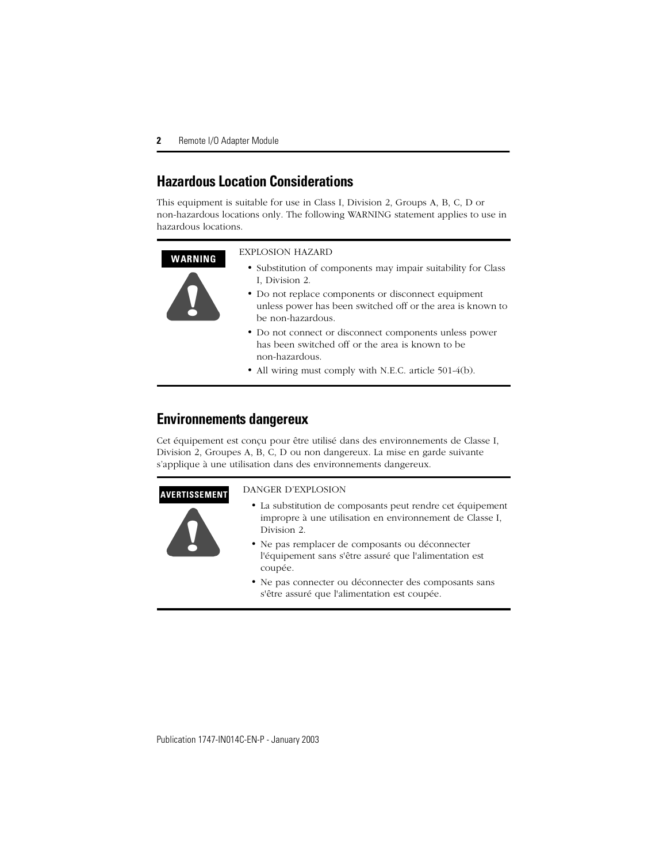# <span id="page-1-0"></span>**Hazardous Location Considerations**

This equipment is suitable for use in Class I, Division 2, Groups A, B, C, D or non-hazardous locations only. The following WARNING statement applies to use in hazardous locations.

#### **WARNING !** EXPLOSION HAZARD • Substitution of components may impair suitability for Class I, Division 2. • Do not replace components or disconnect equipment unless power has been switched off or the area is known to be non-hazardous. • Do not connect or disconnect components unless power has been switched off or the area is known to be non-hazardous.

• All wiring must comply with N.E.C. article 501-4(b).

## <span id="page-1-1"></span>**Environnements dangereux**

Cet équipement est conçu pour être utilisé dans des environnements de Classe I, Division 2, Groupes A, B, C, D ou non dangereux. La mise en garde suivante s'applique à une utilisation dans des environnements dangereux.

#### **AVERTISSEMENT**



#### DANGER D'EXPLOSION

- La substitution de composants peut rendre cet équipement impropre à une utilisation en environnement de Classe I, Division 2.
- Ne pas remplacer de composants ou déconnecter l'équipement sans s'être assuré que l'alimentation est coupée.
- Ne pas connecter ou déconnecter des composants sans s'être assuré que l'alimentation est coupée.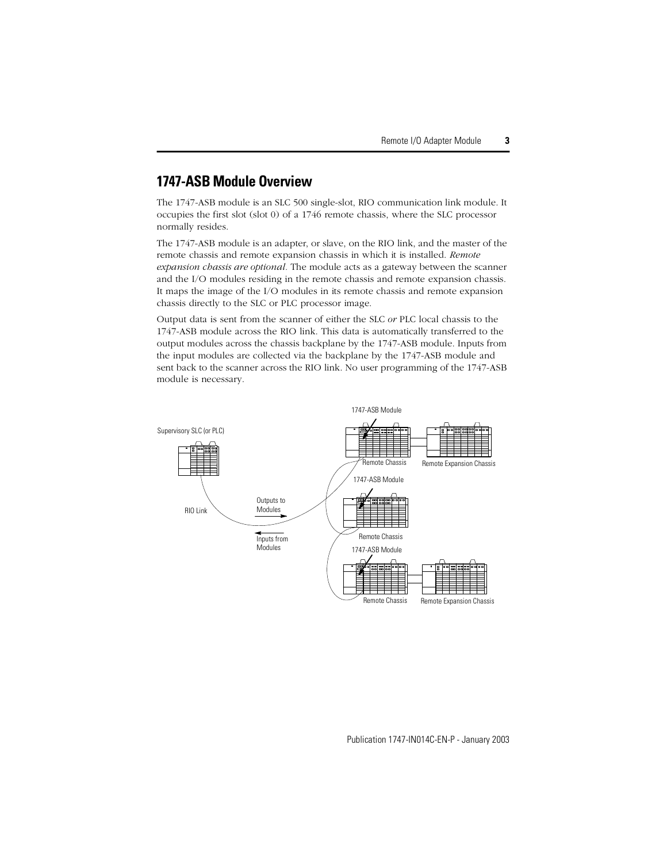## <span id="page-2-0"></span>**1747-ASB Module Overview**

The 1747-ASB module is an SLC 500 single-slot, RIO communication link module. It occupies the first slot (slot 0) of a 1746 remote chassis, where the SLC processor normally resides.

The 1747-ASB module is an adapter, or slave, on the RIO link, and the master of the remote chassis and remote expansion chassis in which it is installed. *Remote expansion chassis are optional.* The module acts as a gateway between the scanner and the I/O modules residing in the remote chassis and remote expansion chassis. It maps the image of the I/O modules in its remote chassis and remote expansion chassis directly to the SLC or PLC processor image.

Output data is sent from the scanner of either the SLC *or* PLC local chassis to the 1747-ASB module across the RIO link. This data is automatically transferred to the output modules across the chassis backplane by the 1747-ASB module. Inputs from the input modules are collected via the backplane by the 1747-ASB module and sent back to the scanner across the RIO link. No user programming of the 1747-ASB module is necessary.

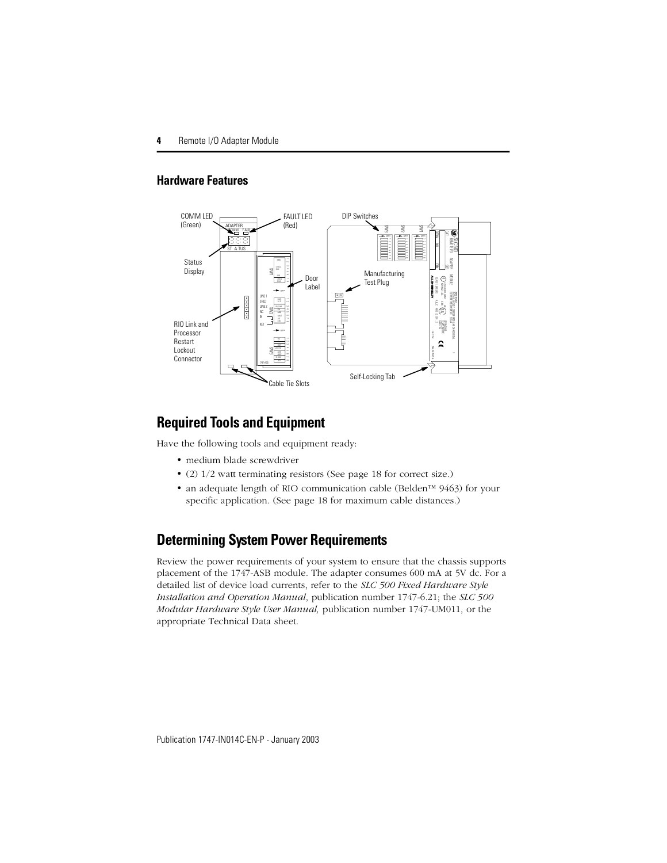### **Hardware Features**



# <span id="page-3-0"></span>**Required Tools and Equipment**

Have the following tools and equipment ready:

- medium blade screwdriver
- (2) 1/2 watt terminating resistors (See [page 18](#page-17-1) for correct size.)
- an adequate length of RIO communication cable (Belden™ 9463) for your specific application. (See [page 18](#page-17-1) for maximum cable distances.)

# <span id="page-3-1"></span>**Determining System Power Requirements**

Review the power requirements of your system to ensure that the chassis supports placement of the 1747-ASB module. The adapter consumes 600 mA at 5V dc. For a detailed list of device load currents, refer to the *SLC 500 Fixed Hardware Style Installation and Operation Manual*, publication number 1747-6.21; the *SLC 500 Modular Hardware Style User Manual,* publication number 1747-UM011, or the appropriate Technical Data sheet.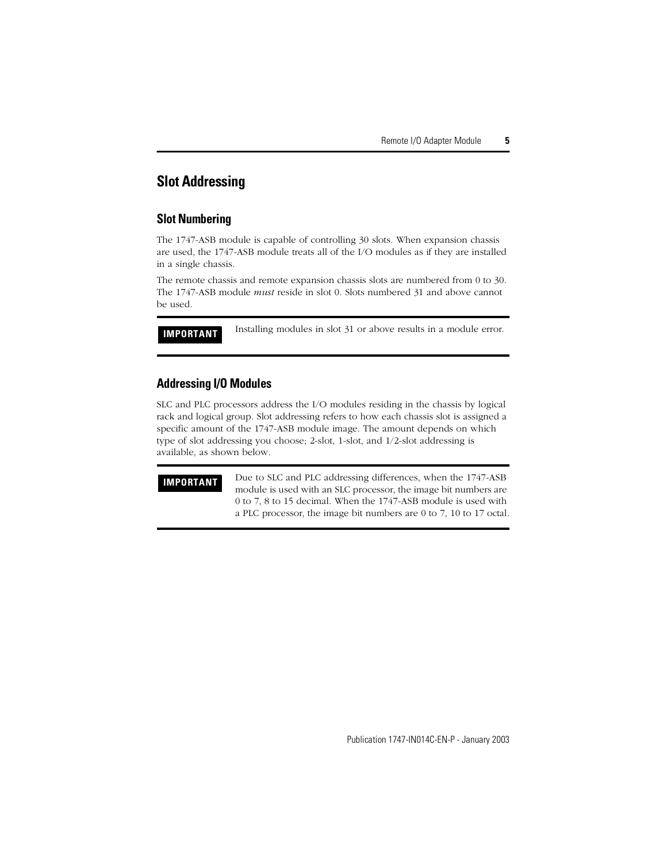## <span id="page-4-0"></span>**Slot Addressing**

#### **Slot Numbering**

The 1747-ASB module is capable of controlling 30 slots. When expansion chassis are used, the 1747-ASB module treats all of the I/O modules as if they are installed in a single chassis.

The remote chassis and remote expansion chassis slots are numbered from 0 to 30. The 1747-ASB module *must* reside in slot 0. Slots numbered 31 and above cannot be used.

**IMPORTANT** Installing modules in slot 31 or above results in a module error.

#### **Addressing I/O Modules**

SLC and PLC processors address the I/O modules residing in the chassis by logical rack and logical group. Slot addressing refers to how each chassis slot is assigned a specific amount of the 1747-ASB module image. The amount depends on which type of slot addressing you choose; 2-slot, 1-slot, and 1/2-slot addressing is available, as shown below.

**IMPORTANT** Due to SLC and PLC addressing differences, when the 1747-ASB module is used with an SLC processor, the image bit numbers are 0 to 7, 8 to 15 decimal. When the 1747-ASB module is used with a PLC processor, the image bit numbers are 0 to 7, 10 to 17 octal.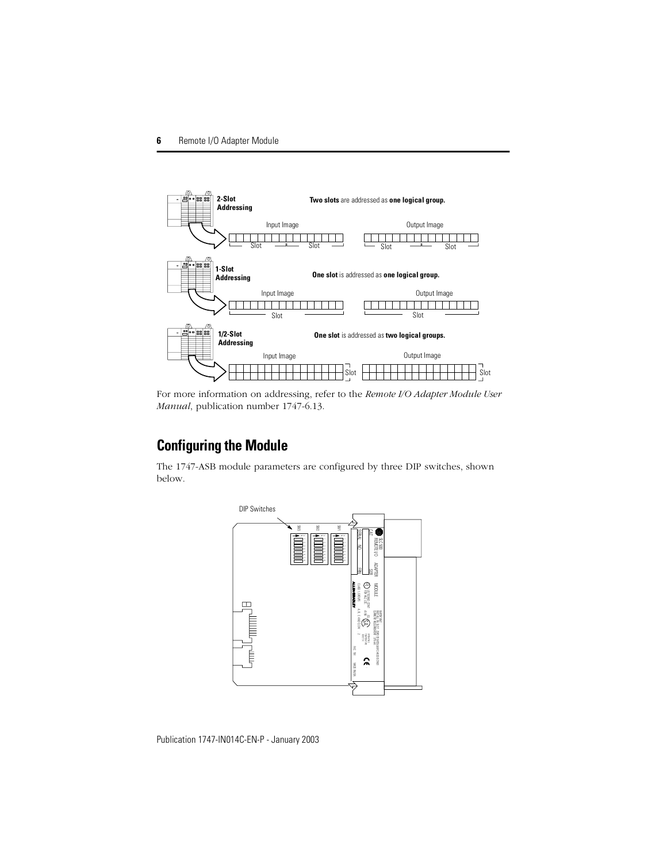

For more information on addressing, refer to the *Remote I/O Adapter Module User Manual*, publication number 1747-6.13.

# <span id="page-5-0"></span>**Configuring the Module**

The 1747-ASB module parameters are configured by three DIP switches, shown below.

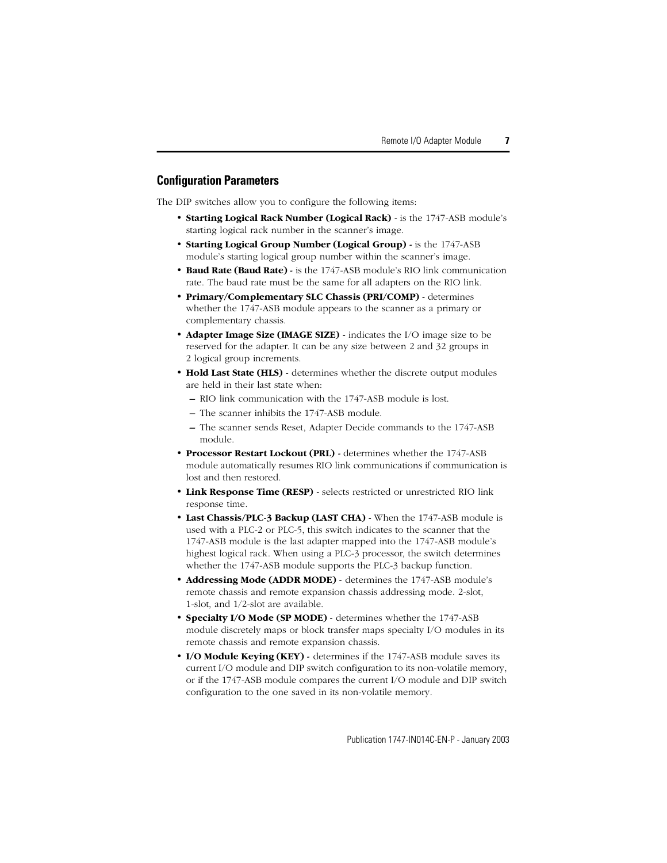#### **Configuration Parameters**

The DIP switches allow you to configure the following items:

- **Starting Logical Rack Number (Logical Rack)** is the 1747-ASB module's starting logical rack number in the scanner's image.
- **Starting Logical Group Number (Logical Group)** is the 1747-ASB module's starting logical group number within the scanner's image.
- **Baud Rate (Baud Rate) -** is the 1747-ASB module's RIO link communication rate. The baud rate must be the same for all adapters on the RIO link.
- **Primary/Complementary SLC Chassis (PRI/COMP)** determines whether the 1747-ASB module appears to the scanner as a primary or complementary chassis.
- **Adapter Image Size (IMAGE SIZE) -** indicates the I/O image size to be reserved for the adapter. It can be any size between 2 and 32 groups in 2 logical group increments.
- **Hold Last State (HLS) -** determines whether the discrete output modules are held in their last state when:
	- **–** RIO link communication with the 1747-ASB module is lost.
	- **–** The scanner inhibits the 1747-ASB module.
	- **–** The scanner sends Reset, Adapter Decide commands to the 1747-ASB module.
- **Processor Restart Lockout (PRL)** determines whether the 1747-ASB module automatically resumes RIO link communications if communication is lost and then restored.
- **Link Response Time (RESP)** selects restricted or unrestricted RIO link response time.
- **Last Chassis/PLC-3 Backup (LAST CHA)** When the 1747-ASB module is used with a PLC-2 or PLC-5, this switch indicates to the scanner that the 1747-ASB module is the last adapter mapped into the 1747-ASB module's highest logical rack. When using a PLC-3 processor, the switch determines whether the 1747-ASB module supports the PLC-3 backup function.
- **Addressing Mode (ADDR MODE) -** determines the 1747-ASB module's remote chassis and remote expansion chassis addressing mode. 2-slot, 1-slot, and 1/2-slot are available.
- **Specialty I/O Mode (SP MODE) -** determines whether the 1747-ASB module discretely maps or block transfer maps specialty I/O modules in its remote chassis and remote expansion chassis.
- **I/O Module Keying (KEY)** determines if the 1747-ASB module saves its current I/O module and DIP switch configuration to its non-volatile memory, or if the 1747-ASB module compares the current I/O module and DIP switch configuration to the one saved in its non-volatile memory.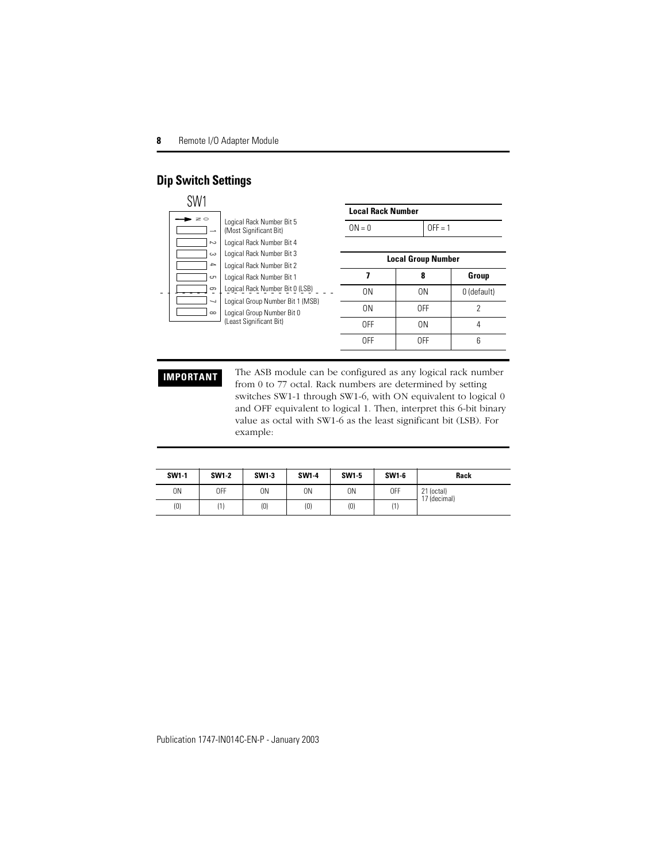### **Dip Switch Settings**

| SW1              |                         |                                                                |                |                                                            |                          |                           |                                                                                                                                                                                                                                                                         |
|------------------|-------------------------|----------------------------------------------------------------|----------------|------------------------------------------------------------|--------------------------|---------------------------|-------------------------------------------------------------------------------------------------------------------------------------------------------------------------------------------------------------------------------------------------------------------------|
|                  |                         |                                                                |                |                                                            | <b>Local Rack Number</b> |                           |                                                                                                                                                                                                                                                                         |
| $\geq$           | $\rightarrow$           | Logical Rack Number Bit 5<br>(Most Significant Bit)            |                | $ON = 0$                                                   |                          | $OFF = 1$                 |                                                                                                                                                                                                                                                                         |
|                  | $\sim$                  | Logical Rack Number Bit 4                                      |                |                                                            |                          |                           |                                                                                                                                                                                                                                                                         |
|                  | دے<br>$\rightarrow$     | Logical Rack Number Bit 3                                      |                |                                                            |                          | <b>Local Group Number</b> |                                                                                                                                                                                                                                                                         |
|                  | cn                      | Logical Rack Number Bit 2<br>Logical Rack Number Bit 1         |                | 7                                                          |                          | 8                         | Group                                                                                                                                                                                                                                                                   |
|                  | 9                       | Logical Rack Number Bit 0 (LSB)                                |                | 0 <sub>N</sub>                                             |                          | 0 <sub>N</sub>            | 0 (default)                                                                                                                                                                                                                                                             |
|                  | ┙<br>$\infty$           | Logical Group Number Bit 1 (MSB)<br>Logical Group Number Bit 0 |                |                                                            | 0 <sub>N</sub>           | 0FF                       | $\overline{2}$                                                                                                                                                                                                                                                          |
|                  | (Least Significant Bit) |                                                                |                | 0FF                                                        |                          | 0 <sub>N</sub>            | 4                                                                                                                                                                                                                                                                       |
|                  |                         |                                                                |                | 0FF                                                        |                          | 0FF                       | <sub>6</sub>                                                                                                                                                                                                                                                            |
| <b>IMPORTANT</b> |                         | example:                                                       |                | from 0 to 77 octal. Rack numbers are determined by setting |                          |                           | The ASB module can be configured as any logical rack number<br>switches SW1-1 through SW1-6, with ON equivalent to logical 0<br>and OFF equivalent to logical 1. Then, interpret this 6-bit binary<br>value as octal with SW1-6 as the least significant bit (LSB). For |
| <b>SW1-1</b>     | <b>SW1-2</b>            | SW1-3                                                          | SW1-4          | SW1-5                                                      | SW1-6                    |                           | Rack                                                                                                                                                                                                                                                                    |
| 0 <sub>N</sub>   | 0FF                     | ON                                                             | 0 <sub>N</sub> | 0N                                                         | 0FF                      | 21 (octal)                |                                                                                                                                                                                                                                                                         |
| (0)              | (1)                     | (0)                                                            | (0)            | (0)                                                        | (1)                      | 17 (decimal)              |                                                                                                                                                                                                                                                                         |

| <b>SW1-1</b> | <b>SW1-2</b> | SW1-3 | SW1-4 | SW1-5 | SW1-6 | Rack                       |
|--------------|--------------|-------|-------|-------|-------|----------------------------|
| 0N           | 0FF          | 0N    | 0N    | 0N    | 0FF   | 21 (octal)<br>17 (decimal) |
| (0)          |              | (0)   | (0)   | (0)   | (1)   |                            |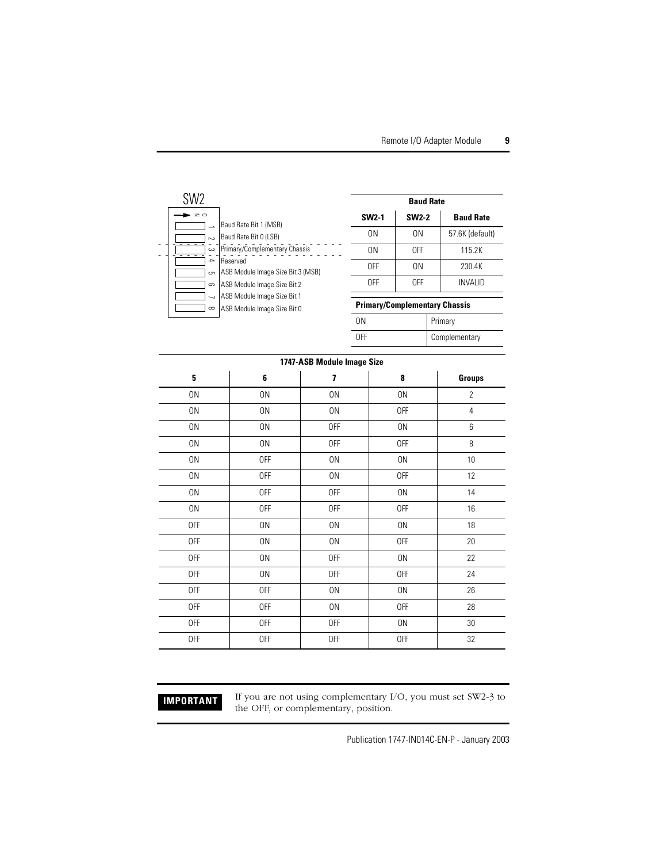

| <b>Baud Rate</b> |                |                  |  |
|------------------|----------------|------------------|--|
| <b>SW2-1</b>     | <b>SW2-2</b>   | <b>Baud Rate</b> |  |
| ΟN               | 0 <sub>N</sub> | 57.6K (default)  |  |
| ΟN               | 0FF            | 115.2K           |  |
| 0FF              | 0 <sub>N</sub> | 230.4K           |  |
| 0FF              | 0FF            | <b>INVALID</b>   |  |

#### **Primary/Complementary Chassis**

| ٦N  | Primary       |
|-----|---------------|
| ገFF | Complementary |

| 1747-ASB Module Image Size |            |            |            |                |  |
|----------------------------|------------|------------|------------|----------------|--|
| 5                          | 6          | 7          | 8          | <b>Groups</b>  |  |
| 0N                         | 0N         | 0N         | 0N         | $\overline{2}$ |  |
| 0N                         | 0N         | 0N         | <b>OFF</b> | 4              |  |
| 0N                         | 0N         | 0FF        | 0N         | 6              |  |
| 0N                         | 0N         | <b>OFF</b> | <b>OFF</b> | 8              |  |
| 0N                         | 0FF        | 0N         | $0N$       | 10             |  |
| 0N                         | 0FF        | 0N         | <b>OFF</b> | 12             |  |
| 0N                         | 0FF        | <b>OFF</b> | 0N         | 14             |  |
| 0N                         | <b>OFF</b> | <b>OFF</b> | 0FF        | 16             |  |
| 0FF                        | 0N         | 0N         | 0N         | 18             |  |
| <b>OFF</b>                 | 0N         | 0N         | 0FF        | $20\,$         |  |
| 0FF                        | 0N         | 0FF        | 0N         | 22             |  |
| <b>OFF</b>                 | 0N         | <b>OFF</b> | 0FF        | 24             |  |
| <b>OFF</b>                 | <b>OFF</b> | 0N         | 0N         | 26             |  |
| <b>OFF</b>                 | <b>OFF</b> | 0N         | 0FF        | 28             |  |
| <b>OFF</b>                 | 0FF        | <b>OFF</b> | 0N         | $30\,$         |  |
| <b>OFF</b>                 | <b>OFF</b> | <b>OFF</b> | <b>OFF</b> | 32             |  |

**IMPORTANT** If you are not using complementary I/O, you must set SW2-3 to the OFF, or complementary, position.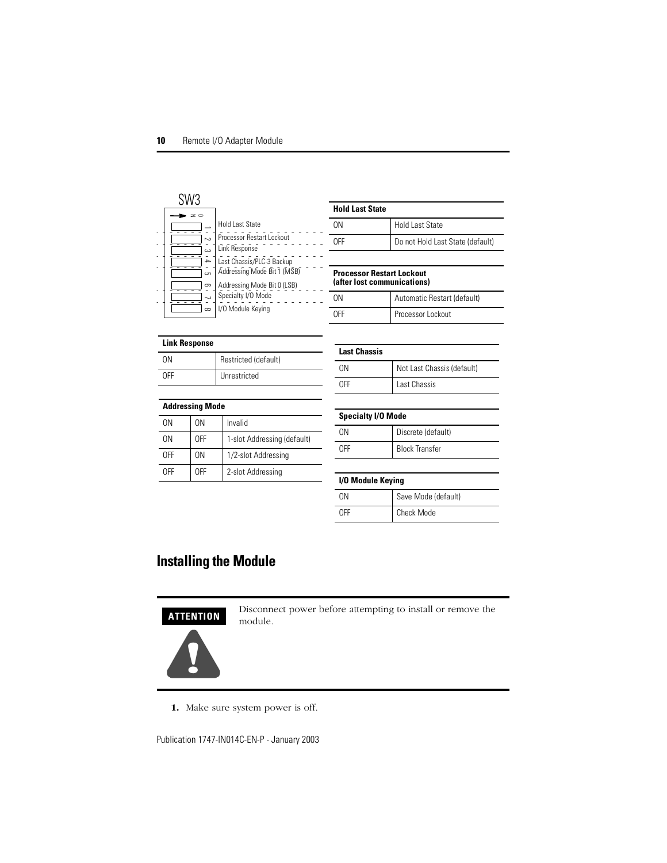| SW3                     |                                                                        |
|-------------------------|------------------------------------------------------------------------|
| $\sim$<br>ى             | <b>Hold Last State</b><br>Processor Restart Lockout<br>Link Response   |
| $\rightarrow$<br>сл<br> | Last Chassis/PLC-3 Backup<br>Addressing Mode Bit 1 (MSB)               |
| တ<br>$\infty$           | Addressing Mode Bit 0 (LSB)<br>Specialty I/O Mode<br>I/O Module Keying |

| <b>Hold Last State</b> |                                  |
|------------------------|----------------------------------|
| ΠN                     | <b>Hold Last State</b>           |
| ∩FF                    | Do not Hold Last State (default) |
|                        |                                  |

#### **Processor Restart Lockout (after lost communications)**

| NΩ         | Automatic Restart (default) |
|------------|-----------------------------|
| <b>OFF</b> | Processor Lockout           |

#### **Link Response**

| ΩN  | Restricted (default) |
|-----|----------------------|
| ∩FF | Unrestricted         |

| <b>Addressing Mode</b> |     |                             |  |
|------------------------|-----|-----------------------------|--|
| 0N                     | 0N  | Invalid                     |  |
| 0N                     | 0FF | 1-slot Addressing (default) |  |
| 0FF                    | ΩN  | 1/2-slot Addressing         |  |
| <b>OFF</b>             | 0FF | 2-slot Addressing           |  |

| <b>Last Chassis</b> |                            |
|---------------------|----------------------------|
| NΩ                  | Not Last Chassis (default) |
| ۱FF                 | Last Chassis               |

| <b>Specialty I/O Mode</b> |                       |
|---------------------------|-----------------------|
| ΩN                        | Discrete (default)    |
| ∩FF                       | <b>Block Transfer</b> |

#### **I/O Module Keying**

| ገN  | Save Mode (default) |
|-----|---------------------|
| ገFF | Check Mode          |

# <span id="page-9-0"></span>**Installing the Module**



Disconnect power before attempting to install or remove the module.



**1.** Make sure system power is off.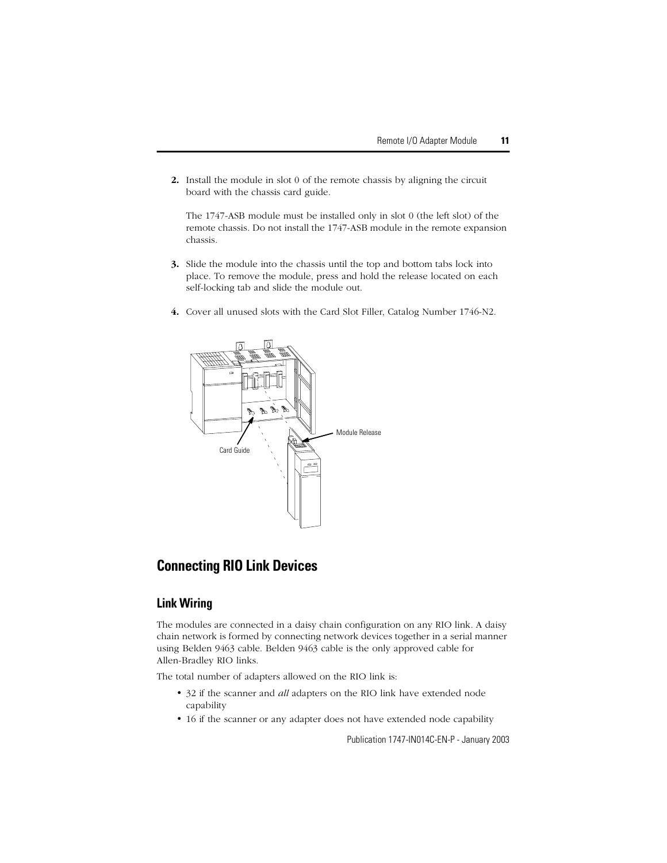**2.** Install the module in slot 0 of the remote chassis by aligning the circuit board with the chassis card guide.

The 1747-ASB module must be installed only in slot 0 (the left slot) of the remote chassis. Do not install the 1747-ASB module in the remote expansion chassis.

- **3.** Slide the module into the chassis until the top and bottom tabs lock into place. To remove the module, press and hold the release located on each self-locking tab and slide the module out.
- **4.** Cover all unused slots with the Card Slot Filler, Catalog Number 1746-N2.



# <span id="page-10-0"></span>**Connecting RIO Link Devices**

#### **Link Wiring**

The modules are connected in a daisy chain configuration on any RIO link. A daisy chain network is formed by connecting network devices together in a serial manner using Belden 9463 cable. Belden 9463 cable is the only approved cable for Allen-Bradley RIO links.

The total number of adapters allowed on the RIO link is:

- 32 if the scanner and *all* adapters on the RIO link have extended node capability
- 16 if the scanner or any adapter does not have extended node capability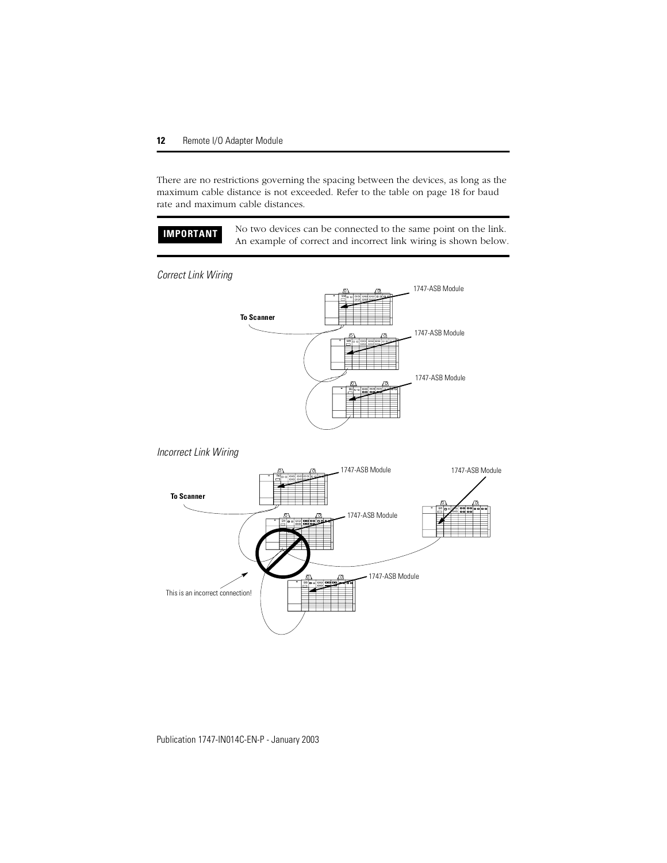There are no restrictions governing the spacing between the devices, as long as the maximum cable distance is not exceeded. Refer to the table on [page 18](#page-17-1) for baud rate and maximum cable distances.

**IMPORTANT** No two devices can be connected to the same point on the link. An example of correct and incorrect link wiring is shown below.

*Correct Link Wiring*



#### *Incorrect Link Wiring*

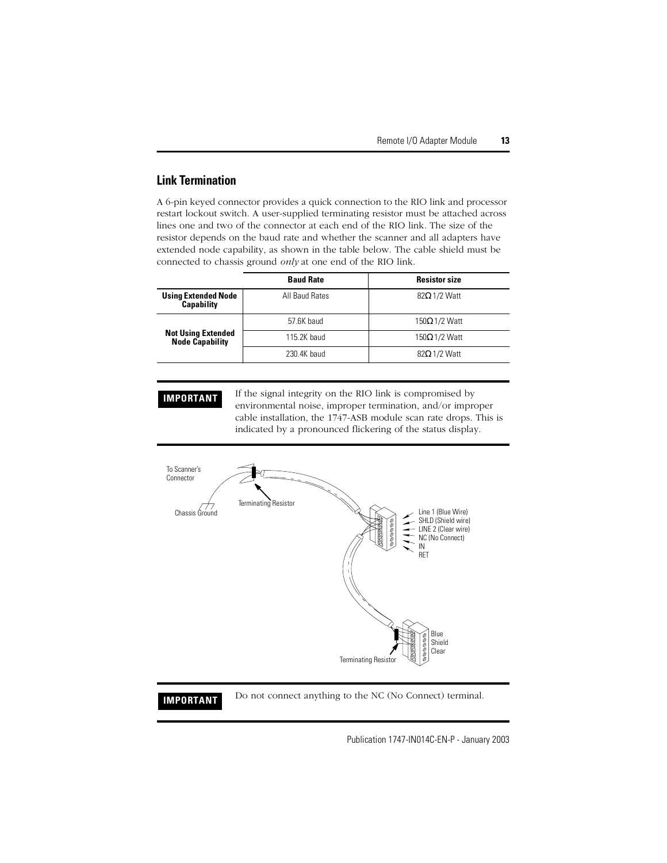#### **Link Termination**

A 6-pin keyed connector provides a quick connection to the RIO link and processor restart lockout switch. A user-supplied terminating resistor must be attached across lines one and two of the connector at each end of the RIO link. The size of the resistor depends on the baud rate and whether the scanner and all adapters have extended node capability, as shown in the table below. The cable shield must be connected to chassis ground *only* at one end of the RIO link.

|                                                     | <b>Baud Rate</b> | <b>Resistor size</b> |
|-----------------------------------------------------|------------------|----------------------|
| <b>Using Extended Node</b><br><b>Capability</b>     | All Baud Rates   | $82\Omega$ 1/2 Watt  |
|                                                     | 57.6K baud       | $150Ω$ 1/2 Watt      |
| <b>Not Using Extended</b><br><b>Node Capability</b> | 115.2K baud      | $150\Omega$ 1/2 Watt |
|                                                     | 230.4K baud      | $82\Omega$ 1/2 Watt  |

**IMPORTANT** If the signal integrity on the RIO link is compromised by environmental noise, improper termination, and/or improper cable installation, the 1747-ASB module scan rate drops. This is indicated by a pronounced flickering of the status display.



### **IMPORTANT** Do not connect anything to the NC (No Connect) terminal.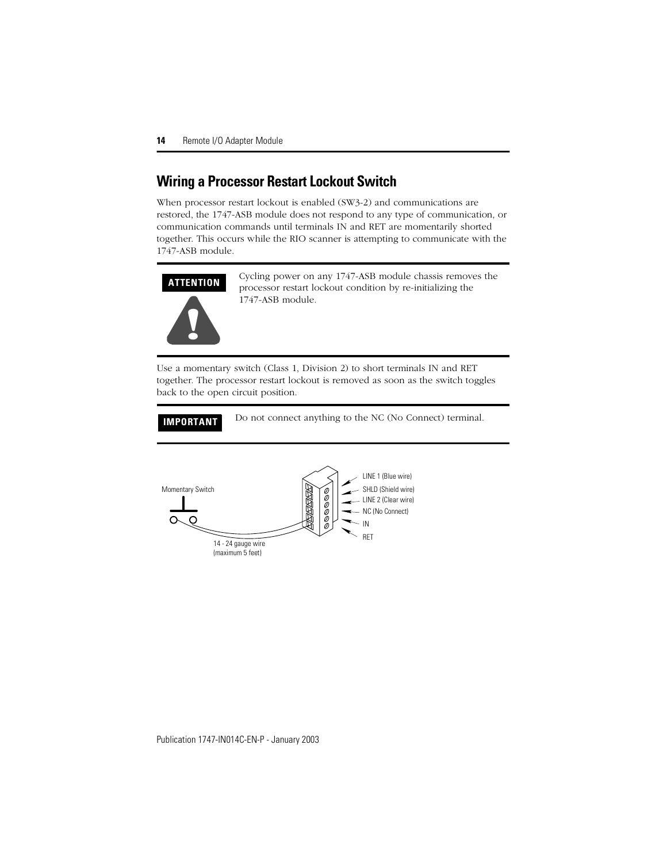## <span id="page-13-0"></span>**Wiring a Processor Restart Lockout Switch**

When processor restart lockout is enabled (SW3-2) and communications are restored, the 1747-ASB module does not respond to any type of communication, or communication commands until terminals IN and RET are momentarily shorted together. This occurs while the RIO scanner is attempting to communicate with the 1747-ASB module.



Cycling power on any 1747-ASB module chassis removes the processor restart lockout condition by re-initializing the 1747-ASB module.

Use a momentary switch (Class 1, Division 2) to short terminals IN and RET together. The processor restart lockout is removed as soon as the switch toggles back to the open circuit position.

**IMPORTANT** Do not connect anything to the NC (No Connect) terminal.

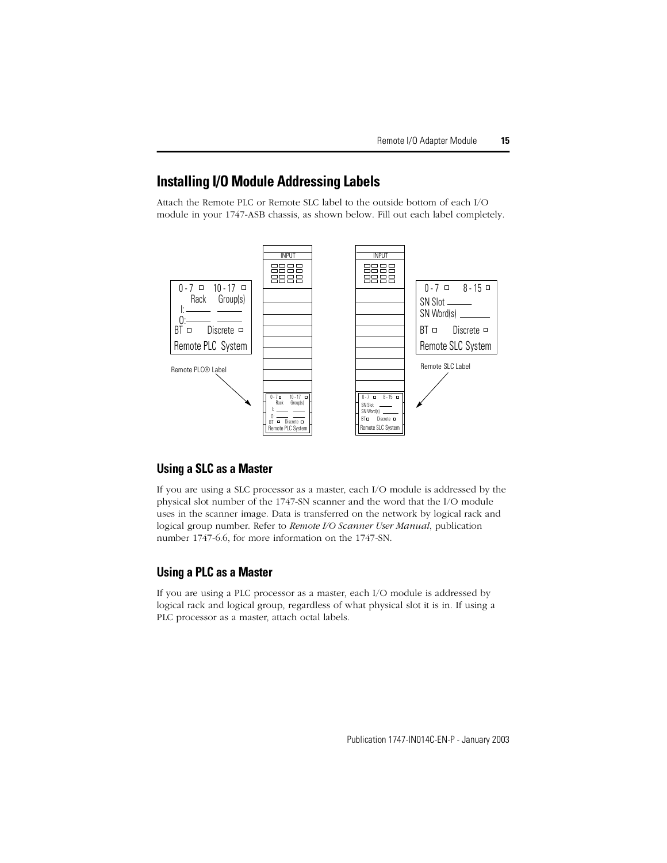## <span id="page-14-0"></span>**Installing I/O Module Addressing Labels**

Attach the Remote PLC or Remote SLC label to the outside bottom of each I/O module in your 1747-ASB chassis, as shown below. Fill out each label completely.



#### **Using a SLC as a Master**

If you are using a SLC processor as a master, each I/O module is addressed by the physical slot number of the 1747-SN scanner and the word that the I/O module uses in the scanner image. Data is transferred on the network by logical rack and logical group number. Refer to *Remote I/O Scanner User Manual*, publication number 1747-6.6, for more information on the 1747-SN.

### **Using a PLC as a Master**

If you are using a PLC processor as a master, each I/O module is addressed by logical rack and logical group, regardless of what physical slot it is in. If using a PLC processor as a master, attach octal labels.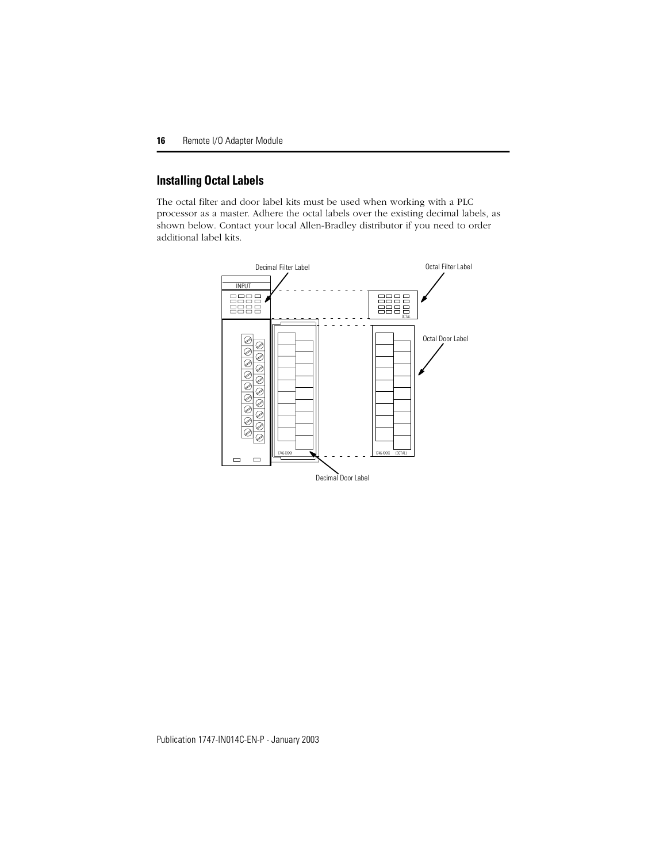## **Installing Octal Labels**

The octal filter and door label kits must be used when working with a PLC processor as a master. Adhere the octal labels over the existing decimal labels, as shown below. Contact your local Allen-Bradley distributor if you need to order additional label kits.

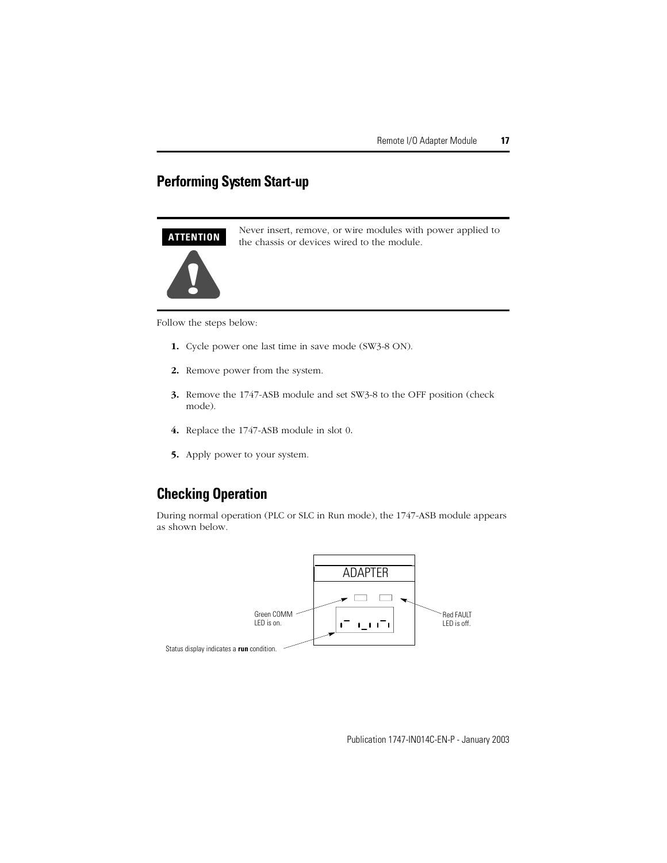# <span id="page-16-0"></span>**Performing System Start-up**

#### **ATTENTION**



Never insert, remove, or wire modules with power applied to the chassis or devices wired to the module.

Follow the steps below:

- **1.** Cycle power one last time in save mode (SW3-8 ON).
- **2.** Remove power from the system.
- **3.** Remove the 1747-ASB module and set SW3-8 to the OFF position (check mode).
- **4.** Replace the 1747-ASB module in slot 0.
- **5.** Apply power to your system.

## <span id="page-16-1"></span>**Checking Operation**

During normal operation (PLC or SLC in Run mode), the 1747-ASB module appears as shown below.

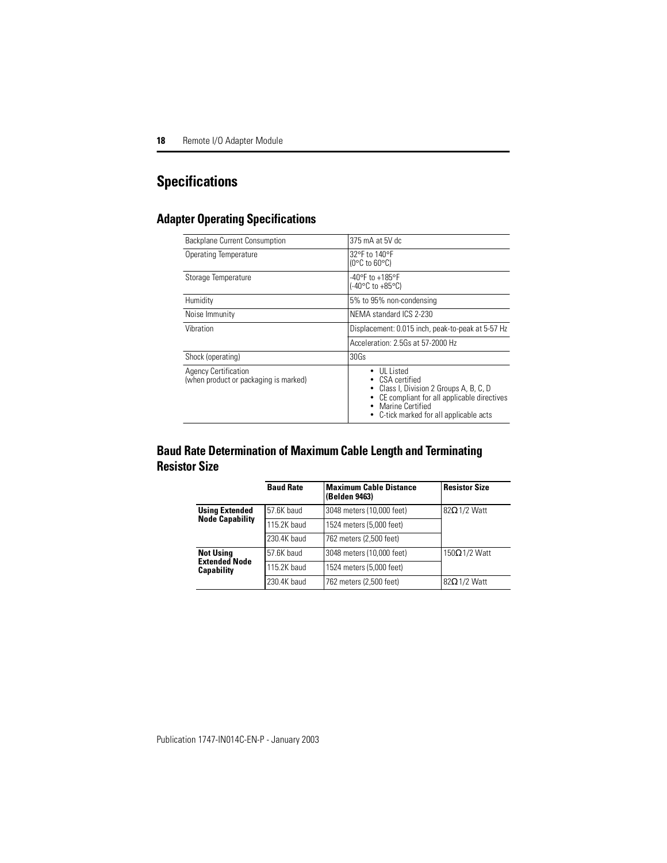# <span id="page-17-0"></span>**Specifications**

## **Adapter Operating Specifications**

| Backplane Current Consumption                                        | 375 mA at 5V dc                                                                                                                                                                  |  |
|----------------------------------------------------------------------|----------------------------------------------------------------------------------------------------------------------------------------------------------------------------------|--|
| Operating Temperature                                                | 32°F to 140°F<br>$(0^{\circ}$ C to 60 $^{\circ}$ C)                                                                                                                              |  |
| Storage Temperature                                                  | -40°F to +185°F<br>$(-40^{\circ}$ C to $+85^{\circ}$ C)                                                                                                                          |  |
| Humidity                                                             | 5% to 95% non-condensing                                                                                                                                                         |  |
| Noise Immunity                                                       | NEMA standard ICS 2-230                                                                                                                                                          |  |
| Vibration                                                            | Displacement: 0.015 inch, peak-to-peak at 5-57 Hz                                                                                                                                |  |
|                                                                      | Acceleration: 2.5Gs at 57-2000 Hz                                                                                                                                                |  |
| Shock (operating)                                                    | 30Gs                                                                                                                                                                             |  |
| <b>Agency Certification</b><br>(when product or packaging is marked) | UL Listed<br>CSA certified<br>Class I, Division 2 Groups A, B, C, D<br>CE compliant for all applicable directives<br>Marine Certified<br>• C-tick marked for all applicable acts |  |

## <span id="page-17-1"></span>**Baud Rate Determination of Maximum Cable Length and Terminating Resistor Size**

|                                           | <b>Baud Rate</b> | <b>Maximum Cable Distance</b><br>(Belden 9463) | <b>Resistor Size</b> |
|-------------------------------------------|------------------|------------------------------------------------|----------------------|
| <b>Using Extended</b>                     | 57.6K baud       | 3048 meters (10,000 feet)                      | $82\Omega$ 1/2 Watt  |
| <b>Node Capability</b>                    | 115.2K baud      | 1524 meters (5,000 feet)                       |                      |
|                                           | 230.4K baud      | 762 meters (2,500 feet)                        |                      |
| <b>Not Using</b>                          | 57.6K baud       | 3048 meters (10,000 feet)                      | $150\Omega$ 1/2 Watt |
| <b>Extended Node</b><br><b>Capability</b> | 115.2K baud      | 1524 meters (5,000 feet)                       |                      |
|                                           | 230.4K baud      | 762 meters (2,500 feet)                        | $82\Omega$ 1/2 Watt  |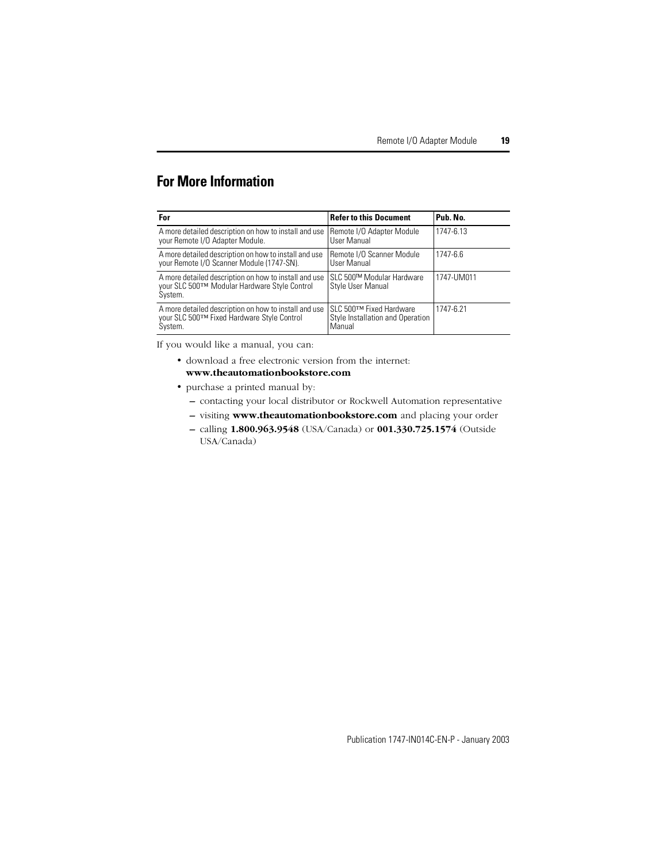# <span id="page-18-0"></span>**For More Information**

| For                                                                                                              | <b>Refer to this Document</b>                                          | Pub. No.   |
|------------------------------------------------------------------------------------------------------------------|------------------------------------------------------------------------|------------|
| A more detailed description on how to install and use<br>your Remote I/O Adapter Module.                         | Remote I/O Adapter Module<br>User Manual                               | 1747-6.13  |
| A more detailed description on how to install and use<br>your Remote I/O Scanner Module (1747-SN).               | Remote I/O Scanner Module<br>User Manual                               | 1747-6.6   |
| A more detailed description on how to install and use<br>your SLC 500™ Modular Hardware Style Control<br>System. | SLC 500™ Modular Hardware<br>Style User Manual                         | 1747-UM011 |
| A more detailed description on how to install and use<br>your SLC 500™ Fixed Hardware Style Control<br>System.   | SLC 500TM Fixed Hardware<br>Style Installation and Operation<br>Manual | 1747-6.21  |

If you would like a manual, you can:

- download a free electronic version from the internet: **www.theautomationbookstore.com**
- purchase a printed manual by:
	- **–** contacting your local distributor or Rockwell Automation representative
	- **–** visiting **www.theautomationbookstore.com** and placing your order
	- **–** calling **1.800.963.9548** (USA/Canada) or **001.330.725.1574** (Outside USA/Canada)